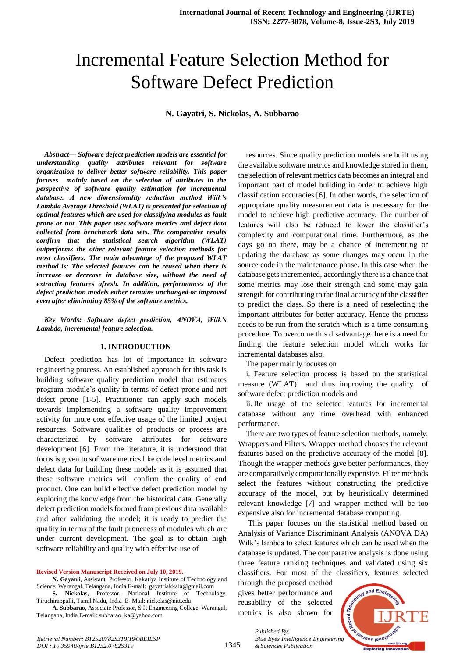# Incremental Feature Selection Method for Software Defect Prediction

**N. Gayatri, S. Nickolas, A. Subbarao**

*Abstract***—** *Software defect prediction models are essential for understanding quality attributes relevant for software organization to deliver better software reliability. This paper focuses mainly based on the selection of attributes in the perspective of software quality estimation for incremental database. A new dimensionality reduction method Wilk's Lambda Average Threshold (WLAT) is presented for selection of optimal features which are used for classifying modules as fault prone or not. This paper uses software metrics and defect data collected from benchmark data sets. The comparative results confirm that the statistical search algorithm (WLAT) outperforms the other relevant feature selection methods for most classifiers. The main advantage of the proposed WLAT method is: The selected features can be reused when there is increase or decrease in database size, without the need of extracting features afresh. In addition, performances of the defect prediction models either remains unchanged or improved even after eliminating 85% of the software metrics.*

*Key Words: Software defect prediction, ANOVA, Wilk's Lambda, incremental feature selection.*

#### **1. INTRODUCTION**

Defect prediction has lot of importance in software engineering process. An established approach for this task is building software quality prediction model that estimates program module's quality in terms of defect prone and not defect prone [1-5]. Practitioner can apply such models towards implementing a software quality improvement activity for more cost effective usage of the limited project resources. Software qualities of products or process are characterized by software attributes for software development [6]. From the literature, it is understood that focus is given to software metrics like code level metrics and defect data for building these models as it is assumed that these software metrics will confirm the quality of end product. One can build effective defect prediction model by exploring the knowledge from the historical data. Generally defect prediction models formed from previous data available and after validating the model; it is ready to predict the quality in terms of the fault proneness of modules which are under current development. The goal is to obtain high software reliability and quality with effective use of

**Revised Version Manuscript Received on July 10, 2019.**

**N. Gayatri**, Assistant Professor, Kakatiya Institute of Technology and Science, Warangal, Telangana, India E-mail: gayatriakkala@gmail.com

**S. Nickolas**, Professor, National Institute of Technology, Tiruchirappalli, Tamil Nadu, India E- Mail: nickolas@nitt.edu

**A. Subbarao**, Associate Professor, S R Engineering College, Warangal, Telangana, India E-mail: subbarao\_ka@yahoo.com

resources. Since quality prediction models are built using the available software metrics and knowledge stored in them, the selection of relevant metrics data becomes an integral and important part of model building in order to achieve high classification accuracies [6]. In other words, the selection of appropriate quality measurement data is necessary for the model to achieve high predictive accuracy. The number of features will also be reduced to lower the classifier's complexity and computational time. Furthermore, as the days go on there, may be a chance of incrementing or updating the database as some changes may occur in the source code in the maintenance phase. In this case when the database gets incremented, accordingly there is a chance that some metrics may lose their strength and some may gain strength for contributing to the final accuracy of the classifier to predict the class. So there is a need of reselecting the important attributes for better accuracy. Hence the process needs to be run from the scratch which is a time consuming procedure. To overcome this disadvantage there is a need for finding the feature selection model which works for incremental databases also.

The paper mainly focuses on

i. Feature selection process is based on the statistical measure (WLAT) and thus improving the quality of software defect prediction models and

ii. Re usage of the selected features for incremental database without any time overhead with enhanced performance.

There are two types of feature selection methods, namely: Wrappers and Filters. Wrapper method chooses the relevant features based on the predictive accuracy of the model [8]. Though the wrapper methods give better performances, they are comparatively computationally expensive. Filter methods select the features without constructing the predictive accuracy of the model, but by heuristically determined relevant knowledge [7] and wrapper method will be too expensive also for incremental database computing.

This paper focuses on the statistical method based on Analysis of Variance Discriminant Analysis (ANOVA DA) Wilk's lambda to select features which can be used when the database is updated. The comparative analysis is done using three feature ranking techniques and validated using six classifiers. For most of the classifiers, features selected

through the proposed method gives better performance and reusability of the selected metrics is also shown for

*& Sciences Publication* 

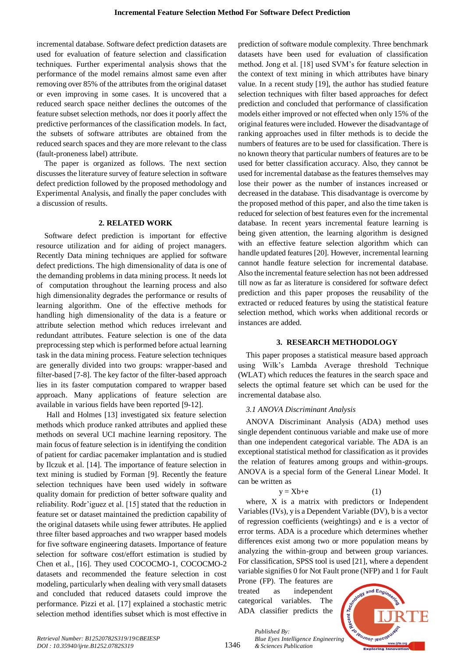incremental database. Software defect prediction datasets are used for evaluation of feature selection and classification techniques. Further experimental analysis shows that the performance of the model remains almost same even after removing over 85% of the attributes from the original dataset or even improving in some cases. It is uncovered that a reduced search space neither declines the outcomes of the feature subset selection methods, nor does it poorly affect the predictive performances of the classification models. In fact, the subsets of software attributes are obtained from the reduced search spaces and they are more relevant to the class (fault-proneness label) attribute.

The paper is organized as follows. The next section discusses the literature survey of feature selection in software defect prediction followed by the proposed methodology and Experimental Analysis, and finally the paper concludes with a discussion of results.

#### **2. RELATED WORK**

Software defect prediction is important for effective resource utilization and for aiding of project managers. Recently Data mining techniques are applied for software defect predictions. The high dimensionality of data is one of the demanding problems in data mining process. It needs lot of computation throughout the learning process and also high dimensionality degrades the performance or results of learning algorithm. One of the effective methods for handling high dimensionality of the data is a feature or attribute selection method which reduces irrelevant and redundant attributes. Feature selection is one of the data preprocessing step which is performed before actual learning task in the data mining process. Feature selection techniques are generally divided into two groups: wrapper-based and filter-based [7-8]. The key factor of the filter-based approach lies in its faster computation compared to wrapper based approach. Many applications of feature selection are available in various fields have been reported [9-12].

Hall and Holmes [13] investigated six feature selection methods which produce ranked attributes and applied these methods on several UCI machine learning repository. The main focus of feature selection is in identifying the condition of patient for cardiac pacemaker implantation and is studied by Ilczuk et al. [14]. The importance of feature selection in text mining is studied by Forman [9]. Recently the feature selection techniques have been used widely in software quality domain for prediction of better software quality and reliability. Rodr'iguez et al. [15] stated that the reduction in feature set or dataset maintained the prediction capability of the original datasets while using fewer attributes. He applied three filter based approaches and two wrapper based models for five software engineering datasets. Importance of feature selection for software cost/effort estimation is studied by Chen et al., [16]. They used COCOCMO-1, COCOCMO-2 datasets and recommended the feature selection in cost modeling, particularly when dealing with very small datasets and concluded that reduced datasets could improve the performance. Pizzi et al. [17] explained a stochastic metric selection method identifies subset which is most effective in prediction of software module complexity. Three benchmark datasets have been used for evaluation of classification method. Jong et al. [18] used SVM's for feature selection in the context of text mining in which attributes have binary value. In a recent study [19], the author has studied feature selection techniques with filter based approaches for defect prediction and concluded that performance of classification models either improved or not effected when only 15% of the original features were included. However the disadvantage of ranking approaches used in filter methods is to decide the numbers of features are to be used for classification. There is no known theory that particular numbers of features are to be used for better classification accuracy. Also, they cannot be used for incremental database as the features themselves may lose their power as the number of instances increased or decreased in the database. This disadvantage is overcome by the proposed method of this paper, and also the time taken is reduced for selection of best features even for the incremental database. In recent years incremental feature learning is being given attention, the learning algorithm is designed with an effective feature selection algorithm which can handle updated features [20]. However, incremental learning cannot handle feature selection for incremental database. Also the incremental feature selection has not been addressed till now as far as literature is considered for software defect prediction and this paper proposes the reusability of the extracted or reduced features by using the statistical feature selection method, which works when additional records or instances are added.

## **3. RESEARCH METHODOLOGY**

This paper proposes a statistical measure based approach using Wilk's Lambda Average threshold Technique (WLAT) which reduces the features in the search space and selects the optimal feature set which can be used for the incremental database also.

## *3.1 ANOVA Discriminant Analysis*

ANOVA Discriminant Analysis (ADA) method uses single dependent continuous variable and make use of more than one independent categorical variable. The ADA is an exceptional statistical method for classification as it provides the relation of features among groups and within-groups. ANOVA is a special form of the General Linear Model. It can be written as

$$
y = Xb + e \tag{1}
$$

where, X is a matrix with predictors or Independent Variables (IVs), y is a Dependent Variable (DV), b is a vector of regression coefficients (weightings) and e is a vector of error terms. ADA is a procedure which determines whether differences exist among two or more population means by analyzing the within-group and between group variances. For classification, SPSS tool is used [21], where a dependent variable signifies 0 for Not Fault prone (NFP) and 1 for Fault

Prone (FP). The features are treated as independent categorical variables. The ADA classifier predicts the

*& Sciences Publication* 

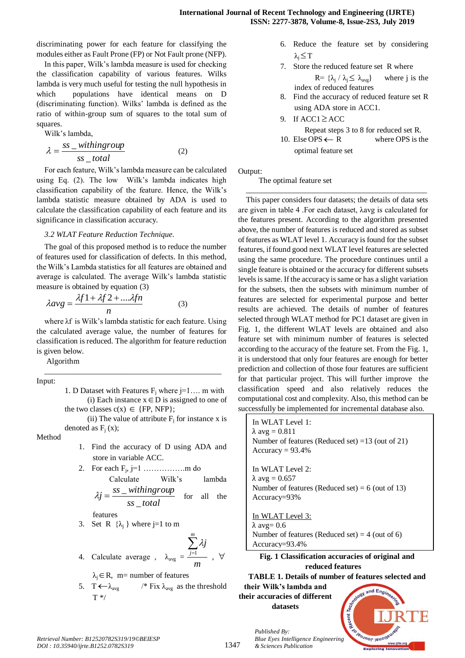discriminating power for each feature for classifying the modules either as Fault Prone (FP) or Not Fault prone (NFP).

In this paper, Wilk's lambda measure is used for checking the classification capability of various features. Wilks lambda is very much useful for testing the null hypothesis in which populations have identical means on D (discriminating function). Wilks' lambda is defined as the ratio of within-group sum of squares to the total sum of squares.

Wilk's lambda,

$$
\lambda = \frac{ss\_withingroup}{ss\_total}
$$
 (2)

For each feature, Wilk's lambda measure can be calculated using Eq. (2). The low Wilk's lambda indicates high classification capability of the feature. Hence, the Wilk's lambda statistic measure obtained by ADA is used to calculate the classification capability of each feature and its significance in classification accuracy.

#### *3.2 WLAT Feature Reduction Technique.*

The goal of this proposed method is to reduce the number of features used for classification of defects. In this method, the Wilk's Lambda statistics for all features are obtained and average is calculated. The average Wilk's lambda statistic measure is obtained by equation (3)

$$
\lambda avg = \frac{\lambda f 1 + \lambda f 2 + \dots \lambda f n}{n} \tag{3}
$$

where λf is Wilk's lambda statistic for each feature. Using the calculated average value, the number of features for classification is reduced. The algorithm for feature reduction is given below.

\_\_\_\_\_\_\_\_\_\_\_\_\_\_\_\_\_\_\_\_\_\_\_\_\_\_\_\_\_\_\_\_\_\_\_\_\_\_\_\_\_\_\_\_\_

Algorithm

Input:

- 1. D Dataset with Features  $F_i$  where  $j=1...$  m with (i) Each instance  $x \in D$  is assigned to one of the two classes  $c(x) \in \{FP, NFP\};$
- (ii) The value of attribute  $F_i$  for instance x is denoted as  $F_i(x)$ ;

Method

1. Find the accuracy of D using ADA and store in variable ACC.

2. For each 
$$
F_j
$$
,  $j=1$  .......mm do  
Calculate  
by  $Wilk's$  lambda  
by  $Within$  group

*ss total*  $j = \frac{ss\_withingroup}{s}$  $\overline{a}$  $\lambda j = \frac{ss}{s}$ for all the

features

3. Set R  $\{\lambda_i\}$  where j=1 to m

4. Calculate average, 
$$
\lambda_{avg} = \frac{\sum_{j=1}^{m} \lambda_j}{m}
$$
,  $\forall$ 

 $\lambda_j \in \mathbb{R}$ , m= number of features

5. T  $\leftarrow \lambda_{\text{avg}}$  /\* Fix  $\lambda_{\text{avg}}$  as the threshold T \*/

- 6. Reduce the feature set by considering  $λ<sub>j</sub> \leq T$
- 7. Store the reduced feature set R where  $R = \{\lambda_j / \lambda_j \leq$ where  $j$  is the index of reduced features
- 8. Find the accuracy of reduced feature set R using ADA store in ACC1.
- 9. If  $ACC1 \geq ACC$  Repeat steps 3 to 8 for reduced set R. 10. Else OPS  $\leftarrow$ where OPS is the

optimal feature set

Output:

The optimal feature set

\_\_\_\_\_\_\_\_\_\_\_\_\_\_\_\_\_\_\_\_\_\_\_\_\_\_\_\_\_\_\_\_\_\_\_\_\_\_\_\_\_\_\_\_\_\_ This paper considers four datasets; the details of data sets are given in table 4 .For each dataset, λavg is calculated for the features present. According to the algorithm presented above, the number of features is reduced and stored as subset of features as WLAT level 1. Accuracy is found for the subset features, if found good next WLAT level features are selected using the same procedure. The procedure continues until a single feature is obtained or the accuracy for different subsets levels is same. If the accuracy is same or has a slight variation for the subsets, then the subsets with minimum number of features are selected for experimental purpose and better results are achieved. The details of number of features selected through WLAT method for PC1 dataset are given in Fig. 1, the different WLAT levels are obtained and also feature set with minimum number of features is selected according to the accuracy of the feature set. From the Fig. 1, it is understood that only four features are enough for better prediction and collection of those four features are sufficient for that particular project. This will further improve the classification speed and also relatively reduces the computational cost and complexity. Also, this method can be successfully be implemented for incremental database also.

In WLAT Level 1:  $\lambda$  avg = 0.811 Number of features (Reduced set) =13 (out of 21)  $Accuracy = 93.4%$ In WLAT Level 2:  $λ$  avg = 0.657 Number of features (Reduced set) =  $6$  (out of 13) Accuracy=93% In WLAT Level 3:  $λ$  avg= 0.6 Number of features (Reduced set)  $=$  4 (out of 6) Accuracy=93.4%

**Fig. 1 Classification accuracies of original and reduced features**

**TABLE 1. Details of number of features selected and their Wilk's lambda and** 

**their accuracies of different datasets**

*& Sciences Publication* 

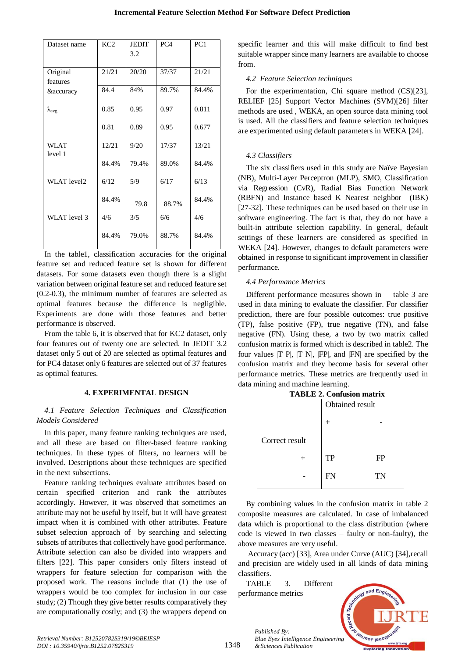| Dataset name         | KC <sub>2</sub> | <b>JEDIT</b><br>3.2 | PC <sub>4</sub> | PC1   |
|----------------------|-----------------|---------------------|-----------------|-------|
| Original<br>features | 21/21           | 20/20               | 37/37           | 21/21 |
| <i>&amp;accuracy</i> | 84.4            | 84%                 | 89.7%           | 84.4% |
| $\lambda_{\rm avg}$  | 0.85            | 0.95                | 0.97            | 0.811 |
|                      | 0.81            | 0.89                | 0.95            | 0.677 |
| WLAT<br>level 1      | 12/21           | 9/20                | 17/37           | 13/21 |
|                      | 84.4%           | 79.4%               | 89.0%           | 84.4% |
| <b>WLAT</b> level2   | 6/12            | 5/9                 | 6/17            | 6/13  |
|                      | 84.4%           | 79.8                | 88.7%           | 84.4% |
| WLAT level 3         | 4/6             | 3/5                 | 6/6             | 4/6   |
|                      | 84.4%           | 79.0%               | 88.7%           | 84.4% |

In the table1, classification accuracies for the original feature set and reduced feature set is shown for different datasets. For some datasets even though there is a slight variation between original feature set and reduced feature set (0.2-0.3), the minimum number of features are selected as optimal features because the difference is negligible. Experiments are done with those features and better performance is observed.

From the table 6, it is observed that for KC2 dataset, only four features out of twenty one are selected. In JEDIT 3.2 dataset only 5 out of 20 are selected as optimal features and for PC4 dataset only 6 features are selected out of 37 features as optimal features.

# **4. EXPERIMENTAL DESIGN**

# *4.1 Feature Selection Techniques and Classification Models Considered*

In this paper, many feature ranking techniques are used, and all these are based on filter-based feature ranking techniques. In these types of filters, no learners will be involved. Descriptions about these techniques are specified in the next subsections.

Feature ranking techniques evaluate attributes based on certain specified criterion and rank the attributes accordingly. However, it was observed that sometimes an attribute may not be useful by itself, but it will have greatest impact when it is combined with other attributes. Feature subset selection approach of by searching and selecting subsets of attributes that collectively have good performance. Attribute selection can also be divided into wrappers and filters [22]. This paper considers only filters instead of wrappers for feature selection for comparison with the proposed work. The reasons include that (1) the use of wrappers would be too complex for inclusion in our case study; (2) Though they give better results comparatively they are computationally costly; and (3) the wrappers depend on specific learner and this will make difficult to find best suitable wrapper since many learners are available to choose from.

## *4.2 Feature Selection techniques*

For the experimentation, Chi square method (CS)[23], RELIEF [25] Support Vector Machines (SVM)[26] filter methods are used , WEKA, an open source data mining tool is used. All the classifiers and feature selection techniques are experimented using default parameters in WEKA [24].

# *4.3 Classifiers*

The six classifiers used in this study are Naïve Bayesian (NB), Multi-Layer Perceptron (MLP), SMO, Classification via Regression (CvR), Radial Bias Function Network (RBFN) and Instance based K Nearest neighbor (IBK) [27-32]. These techniques can be used based on their use in software engineering. The fact is that, they do not have a built-in attribute selection capability. In general, default settings of these learners are considered as specified in WEKA [24]. However, changes to default parameters were obtained in response to significant improvement in classifier performance.

# *4.4 Performance Metrics*

Different performance measures shown in table 3 are used in data mining to evaluate the classifier. For classifier prediction, there are four possible outcomes: true positive (TP), false positive (FP), true negative (TN), and false negative (FN). Using these, a two by two matrix called confusion matrix is formed which is described in table2. The four values  $|T P|$ ,  $|T N|$ ,  $|FP|$ , and  $|FN|$  are specified by the confusion matrix and they become basis for several other performance metrics. These metrics are frequently used in data mining and machine learning.

| 1 АРЕЕ 2. Социвюц піаціх |                 |           |  |  |
|--------------------------|-----------------|-----------|--|--|
|                          | Obtained result |           |  |  |
|                          |                 |           |  |  |
| Correct result           |                 |           |  |  |
|                          | <b>TP</b>       | <b>FP</b> |  |  |
|                          | FN              | TN        |  |  |

 $TAPLE 2.$  Confusi

By combining values in the confusion matrix in table 2 composite measures are calculated. In case of imbalanced data which is proportional to the class distribution (where code is viewed in two classes – faulty or non-faulty), the above measures are very useful.

Accuracy (acc) [33], Area under Curve (AUC) [34],recall and precision are widely used in all kinds of data mining classifiers.

TABLE 3. Different performance metrics

*Published By:*

*& Sciences Publication* 



*Retrieval Number: B12520782S319/19©BEIESP DOI : 10.35940/ijrte.B1252.0782S319*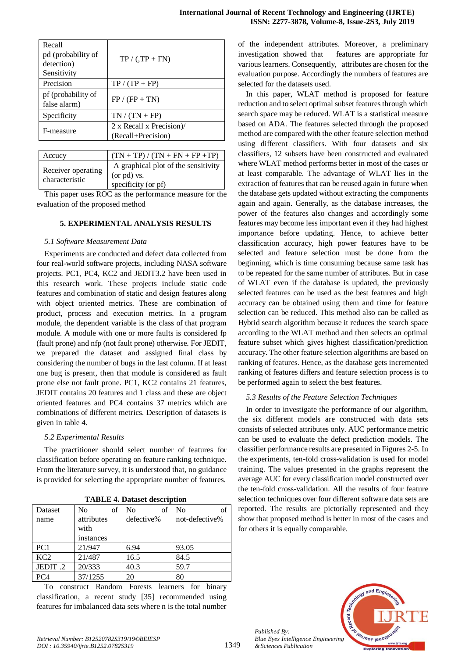| Recall<br>pd (probability of<br>detection)<br>Sensitivity | $TP / (TP + FN)$                               |
|-----------------------------------------------------------|------------------------------------------------|
| Precision                                                 | $TP / (TP + FP)$                               |
| pf (probability of<br>false alarm)                        | $FP / (FP + TN)$                               |
| Specificity                                               | $TN / (TN + FP)$                               |
| F-measure                                                 | 2 x Recall x Precision)/<br>(Recall+Precision) |

| Accucy                               | $(TN + TP) / (TN + FN + FP + TP)$                                         |
|--------------------------------------|---------------------------------------------------------------------------|
| Receiver operating<br>characteristic | A graphical plot of the sensitivity<br>(or pd) vs.<br>specificity (or pf) |

This paper uses ROC as the performance measure for the evaluation of the proposed method

## **5. EXPERIMENTAL ANALYSIS RESULTS**

## *5.1 Software Measurement Data*

Experiments are conducted and defect data collected from four real-world software projects, including NASA software projects. PC1, PC4, KC2 and JEDIT3.2 have been used in this research work. These projects include static code features and combination of static and design features along with object oriented metrics. These are combination of product, process and execution metrics. In a program module, the dependent variable is the class of that program module. A module with one or more faults is considered fp (fault prone) and nfp (not fault prone) otherwise. For JEDIT, we prepared the dataset and assigned final class by considering the number of bugs in the last column. If at least one bug is present, then that module is considered as fault prone else not fault prone. PC1, KC2 contains 21 features, JEDIT contains 20 features and 1 class and these are object oriented features and PC4 contains 37 metrics which are combinations of different metrics. Description of datasets is given in table 4.

## *5.2 Experimental Results*

The practitioner should select number of features for classification before operating on feature ranking technique. From the literature survey, it is understood that, no guidance is provided for selecting the appropriate number of features.

| 1 ADLE 7. Dataset uesei iption |                      |                      |                |  |  |  |
|--------------------------------|----------------------|----------------------|----------------|--|--|--|
| Dataset                        | N <sub>o</sub><br>of | N <sub>0</sub><br>of | of<br>No       |  |  |  |
| name                           | attributes           | defective%           | not-defective% |  |  |  |
|                                | with                 |                      |                |  |  |  |
|                                | instances            |                      |                |  |  |  |
| PC <sub>1</sub>                | 21/947               | 6.94                 | 93.05          |  |  |  |
| KC <sub>2</sub>                | 21/487               | 16.5                 | 84.5           |  |  |  |
| JEDIT.2                        | 20/333               | 40.3                 | 59.7           |  |  |  |
| PC <sub>4</sub>                | 37/1255              | 20                   | 80             |  |  |  |

**TABLE 4. Dataset description**

To construct Random Forests learners for binary classification, a recent study [35] recommended using features for imbalanced data sets where n is the total number of the independent attributes. Moreover, a preliminary investigation showed that features are appropriate for various learners. Consequently, attributes are chosen for the evaluation purpose. Accordingly the numbers of features are selected for the datasets used.

In this paper, WLAT method is proposed for feature reduction and to select optimal subset features through which search space may be reduced. WLAT is a statistical measure based on ADA. The features selected through the proposed method are compared with the other feature selection method using different classifiers. With four datasets and six classifiers, 12 subsets have been constructed and evaluated where WLAT method performs better in most of the cases or at least comparable. The advantage of WLAT lies in the extraction of features that can be reused again in future when the database gets updated without extracting the components again and again. Generally, as the database increases, the power of the features also changes and accordingly some features may become less important even if they had highest importance before updating. Hence, to achieve better classification accuracy, high power features have to be selected and feature selection must be done from the beginning, which is time consuming because same task has to be repeated for the same number of attributes. But in case of WLAT even if the database is updated, the previously selected features can be used as the best features and high accuracy can be obtained using them and time for feature selection can be reduced. This method also can be called as Hybrid search algorithm because it reduces the search space according to the WLAT method and then selects an optimal feature subset which gives highest classification/prediction accuracy. The other feature selection algorithms are based on ranking of features. Hence, as the database gets incremented ranking of features differs and feature selection process is to be performed again to select the best features.

# *5.3 Results of the Feature Selection Techniques*

In order to investigate the performance of our algorithm, the six different models are constructed with data sets consists of selected attributes only. AUC performance metric can be used to evaluate the defect prediction models. The classifier performance results are presented in Figures 2-5. In the experiments, ten-fold cross-validation is used for model training. The values presented in the graphs represent the average AUC for every classification model constructed over the ten-fold cross-validation. All the results of four feature selection techniques over four different software data sets are reported. The results are pictorially represented and they show that proposed method is better in most of the cases and for others it is equally comparable.



*Published By:*

*& Sciences Publication*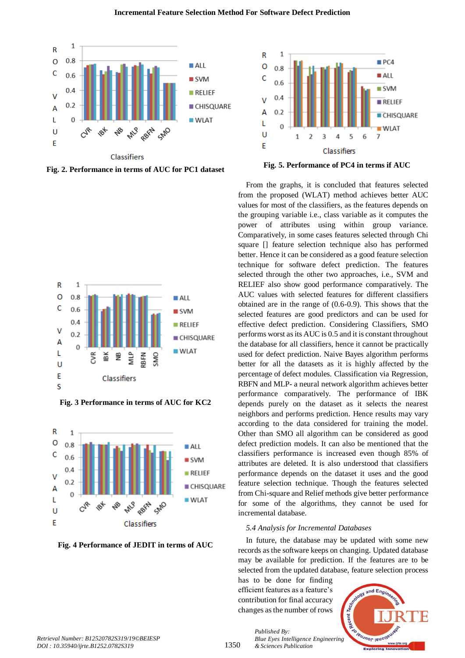

**Fig. 2. Performance in terms of AUC for PC1 dataset**



**Fig. 3 Performance in terms of AUC for KC2**



**Fig. 4 Performance of JEDIT in terms of AUC**



**Fig. 5. Performance of PC4 in terms if AUC**

From the graphs, it is concluded that features selected from the proposed (WLAT) method achieves better AUC values for most of the classifiers, as the features depends on the grouping variable i.e., class variable as it computes the power of attributes using within group variance. Comparatively, in some cases features selected through Chi square [] feature selection technique also has performed better. Hence it can be considered as a good feature selection technique for software defect prediction. The features selected through the other two approaches, i.e., SVM and RELIEF also show good performance comparatively. The AUC values with selected features for different classifiers obtained are in the range of (0.6-0.9). This shows that the selected features are good predictors and can be used for effective defect prediction. Considering Classifiers, SMO performs worst as its AUC is 0.5 and it is constant throughout the database for all classifiers, hence it cannot be practically used for defect prediction. Naive Bayes algorithm performs better for all the datasets as it is highly affected by the percentage of defect modules. Classification via Regression, RBFN and MLP- a neural network algorithm achieves better performance comparatively. The performance of IBK depends purely on the dataset as it selects the nearest neighbors and performs prediction. Hence results may vary according to the data considered for training the model. Other than SMO all algorithm can be considered as good defect prediction models. It can also be mentioned that the classifiers performance is increased even though 85% of attributes are deleted. It is also understood that classifiers performance depends on the dataset it uses and the good feature selection technique. Though the features selected from Chi-square and Relief methods give better performance for some of the algorithms, they cannot be used for incremental database.

#### *5.4 Analysis for Incremental Databases*

In future, the database may be updated with some new records as the software keeps on changing. Updated database may be available for prediction. If the features are to be selected from the updated database, feature selection process

has to be done for finding efficient features as a feature's contribution for final accuracy changes as the number of rows

*& Sciences Publication* 

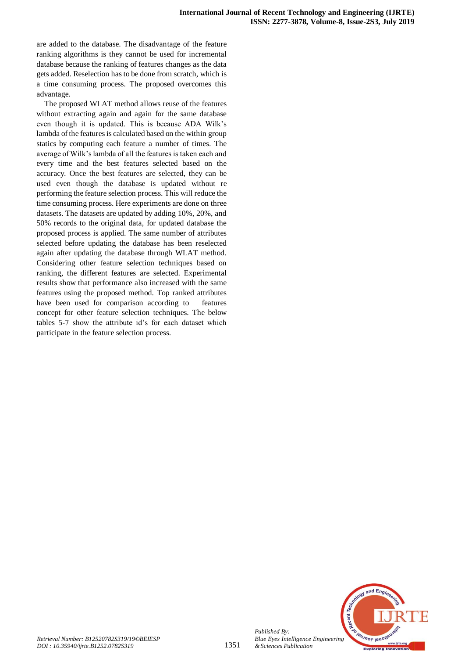are added to the database. The disadvantage of the feature ranking algorithms is they cannot be used for incremental database because the ranking of features changes as the data gets added. Reselection has to be done from scratch, which is a time consuming process. The proposed overcomes this advantage.

The proposed WLAT method allows reuse of the features without extracting again and again for the same database even though it is updated. This is because ADA Wilk's lambda of the features is calculated based on the within group statics by computing each feature a number of times. The average of Wilk's lambda of all the features is taken each and every time and the best features selected based on the accuracy. Once the best features are selected, they can be used even though the database is updated without re performing the feature selection process. This will reduce the time consuming process. Here experiments are done on three datasets. The datasets are updated by adding 10%, 20%, and 50% records to the original data, for updated database the proposed process is applied. The same number of attributes selected before updating the database has been reselected again after updating the database through WLAT method. Considering other feature selection techniques based on ranking, the different features are selected. Experimental results show that performance also increased with the same features using the proposed method. Top ranked attributes have been used for comparison according to features concept for other feature selection techniques. The below tables 5-7 show the attribute id's for each dataset which participate in the feature selection process.



*Published By:*

*& Sciences Publication*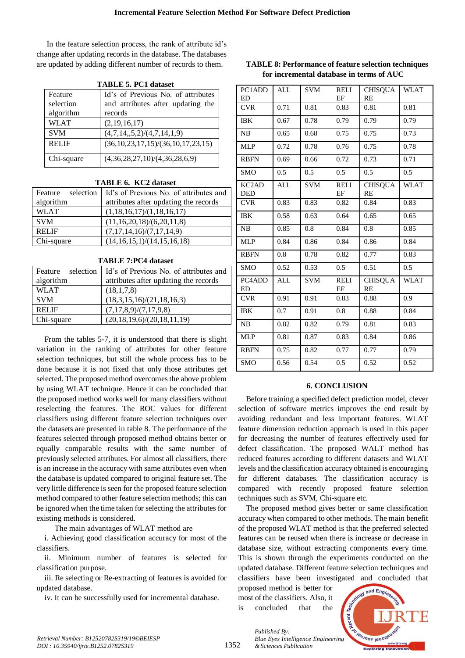In the feature selection process, the rank of attribute id's change after updating records in the database. The databases are updated by adding different number of records to them.

| LADLE 3. LUI GALASCU |                                               |  |  |
|----------------------|-----------------------------------------------|--|--|
| Feature              | Id's of Previous No. of attributes            |  |  |
| selection            | and attributes after updating the             |  |  |
| algorithm            | records                                       |  |  |
| <b>WLAT</b>          | (2,19,16,17)                                  |  |  |
| <b>SVM</b>           | (4,7,14,5,2)/(4,7,14,1,9)                     |  |  |
| <b>RELIF</b>         | $(36, 10, 23, 17, 15) / (36, 10, 17, 23, 15)$ |  |  |
| Chi-square           | (4,36,28,27,10)/(4,36,28,6,9)                 |  |  |

**TABLE 5. PC1 dataset**

#### **TABLE 6. KC2 dataset**

| selection<br>Feature | Id's of Previous No. of attributes and |
|----------------------|----------------------------------------|
| algorithm            | attributes after updating the records  |
| <b>WLAT</b>          | (1,18,16,17)/(1,18,16,17)              |
| <b>SVM</b>           | (11,16,20,18)/(6,20,11,8)              |
| <b>RELIF</b>         | (7,17,14,16)/(7,17,14,9)               |
| Chi-square           | (14,16,15,1)/(14,15,16,18)             |

| <b>TABLE 7:PC4 dataset</b> |  |
|----------------------------|--|
|----------------------------|--|

| selection<br>Feature | Id's of Previous No. of attributes and |
|----------------------|----------------------------------------|
| algorithm            | attributes after updating the records  |
| <b>WLAT</b>          | (18,1,7,8)                             |
| <b>SVM</b>           | (18,3,15,16)/(21,18,16,3)              |
| <b>RELIF</b>         | (7,17,8,9)/(7,17,9,8)                  |
| Chi-square           | (20,18,19,6)/(20,18,11,19)             |
|                      |                                        |

From the tables 5-7, it is understood that there is slight variation in the ranking of attributes for other feature selection techniques, but still the whole process has to be done because it is not fixed that only those attributes get selected. The proposed method overcomes the above problem by using WLAT technique. Hence it can be concluded that the proposed method works well for many classifiers without reselecting the features. The ROC values for different classifiers using different feature selection techniques over the datasets are presented in table 8. The performance of the features selected through proposed method obtains better or equally comparable results with the same number of previously selected attributes. For almost all classifiers, there is an increase in the accuracy with same attributes even when the database is updated compared to original feature set. The very little difference is seen for the proposed feature selection method compared to other feature selection methods; this can be ignored when the time taken for selecting the attributes for existing methods is considered.

The main advantages of WLAT method are

i. Achieving good classification accuracy for most of the classifiers.

ii. Minimum number of features is selected for classification purpose.

iii. Re selecting or Re-extracting of features is avoided for updated database.

iv. It can be successfully used for incremental database.

| PC1ADD                                       | <b>ALL</b> | SVM        | <b>RELI</b>       | <b>CHISQUA</b>              | <b>WLAT</b> |
|----------------------------------------------|------------|------------|-------------------|-----------------------------|-------------|
| <b>ED</b>                                    |            |            | EF                | <b>RE</b>                   |             |
| <b>CVR</b>                                   | 0.71       | 0.81       | 0.83              | 0.81                        | 0.81        |
| <b>IBK</b>                                   | 0.67       | 0.78       | 0.79              | 0.79                        | 0.79        |
| NB                                           | 0.65       | 0.68       | 0.75              | 0.75                        | 0.73        |
| <b>MLP</b>                                   | 0.72       | 0.78       | 0.76              | 0.75                        | 0.78        |
| <b>RBFN</b>                                  | 0.69       | 0.66       | 0.72              | 0.73                        | 0.71        |
| <b>SMO</b>                                   | 0.5        | 0.5        | 0.5               | 0.5                         | 0.5         |
| $\overline{KC2AD}$<br>DED                    | <b>ALL</b> | <b>SVM</b> | <b>RELI</b><br>EF | <b>CHISQUA</b><br><b>RE</b> | <b>WLAT</b> |
| <b>CVR</b>                                   | 0.83       | 0.83       | 0.82              | 0.84                        | 0.83        |
| <b>IBK</b>                                   | 0.58       | 0.63       | 0.64              | 0.65                        | 0.65        |
| NB                                           | 0.85       | 0.8        | 0.84              | 0.8                         | 0.85        |
| <b>MLP</b>                                   | 0.84       | 0.86       | 0.84              | 0.86                        | 0.84        |
| <b>RBFN</b>                                  | 0.8        | 0.78       | 0.82              | 0.77                        | 0.83        |
| <b>SMO</b>                                   | 0.52       | 0.53       | 0.5               | 0.51                        | 0.5         |
| PC <sub>4</sub> AD <sub>D</sub><br><b>ED</b> | <b>ALL</b> | <b>SVM</b> | <b>RELI</b><br>EF | <b>CHISQUA</b><br>RE        | <b>WLAT</b> |
| <b>CVR</b>                                   | 0.91       | 0.91       | 0.83              | 0.88                        | 0.9         |
| <b>IBK</b>                                   | 0.7        | 0.91       | 0.8               | 0.88                        | 0.84        |
| NB                                           | 0.82       | 0.82       | 0.79              | 0.81                        | 0.83        |
| <b>MLP</b>                                   | 0.81       | 0.87       | 0.83              | 0.84                        | 0.86        |
| <b>RBFN</b>                                  | 0.75       | 0.82       | 0.77              | 0.77                        | 0.79        |
| <b>SMO</b>                                   | 0.56       | 0.54       | 0.5               | 0.52                        | 0.52        |

## **TABLE 8: Performance of feature selection techniques for incremental database in terms of AUC**

#### **6. CONCLUSION**

Before training a specified defect prediction model, clever selection of software metrics improves the end result by avoiding redundant and less important features. WLAT feature dimension reduction approach is used in this paper for decreasing the number of features effectively used for defect classification. The proposed WALT method has reduced features according to different datasets and WLAT levels and the classification accuracy obtained is encouraging for different databases. The classification accuracy is compared with recently proposed feature selection techniques such as SVM, Chi-square etc.

The proposed method gives better or same classification accuracy when compared to other methods. The main benefit of the proposed WLAT method is that the preferred selected features can be reused when there is increase or decrease in database size, without extracting components every time. This is shown through the experiments conducted on the updated database. Different feature selection techniques and classifiers have been investigated and concluded that

proposed method is better for most of the classifiers. Also, it is concluded that the



*Published By: Blue Eyes Intelligence Engineering & Sciences Publication*